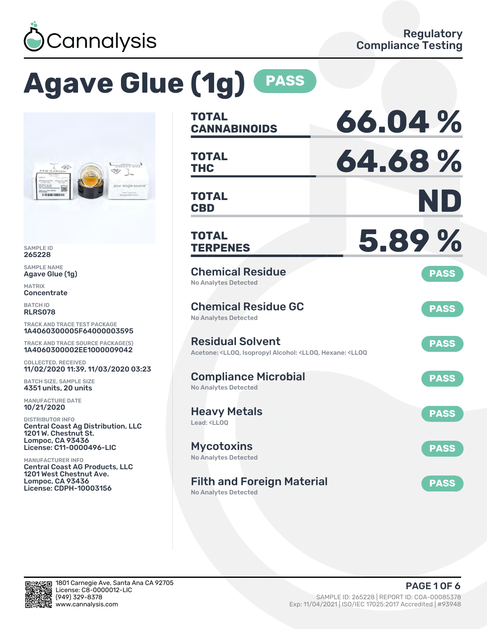

# **Agave Glue (1g) PASS**



SAMPLE ID 265228

SAMPLE NAME Agave Glue (1g)

MATRIX **Concentrate** 

BATCH ID RLRS078

TRACK AND TRACE TEST PACKAGE 1A4060300005F64000003595

TRACK AND TRACE SOURCE PACKAGE(S) 1A4060300002EE1000009042

COLLECTED, RECEIVED 11/02/2020 11:39, 11/03/2020 03:23

BATCH SIZE, SAMPLE SIZE 4351 units, 20 units

MANUFACTURE DATE 10/21/2020

DISTRIBUTOR INFO Central Coast Ag Distribution, LLC 1201 W. Chestnut St. Lompoc, CA 93436 License: C11-0000496-LIC

MANUFACTURER INFO Central Coast AG Products, LLC 1201 West Chestnut Ave. Lompoc, CA 93436 License: CDPH-10003156

| <b>TOTAL</b><br><b>CANNABINOIDS</b>                                                                                                   | 66.04%      |
|---------------------------------------------------------------------------------------------------------------------------------------|-------------|
| <b>TOTAL</b><br>THC                                                                                                                   | 64.68%      |
| <b>TOTAL</b><br><b>CBD</b>                                                                                                            | ND          |
| <b>TOTAL</b><br><b>TERPENES</b>                                                                                                       | 5.89%       |
| <b>Chemical Residue</b><br><b>No Analytes Detected</b>                                                                                | <b>PASS</b> |
| <b>Chemical Residue GC</b><br><b>No Analytes Detected</b>                                                                             | <b>PASS</b> |
| <b>Residual Solvent</b><br>Acetone: <lloq, <lloq,="" <lloq<="" alcohol:="" hexane:="" isopropyl="" td=""><td><b>PASS</b></td></lloq,> | <b>PASS</b> |
| <b>Compliance Microbial</b><br><b>No Analytes Detected</b>                                                                            | <b>PASS</b> |
| <b>Heavy Metals</b><br>Lead: <ll00< td=""><td><b>PASS</b></td></ll00<>                                                                | <b>PASS</b> |
| <b>Mycotoxins</b><br><b>No Analytes Detected</b>                                                                                      | <b>PASS</b> |
| <b>Filth and Foreign Material</b><br><b>No Analytes Detected</b>                                                                      | <b>PASS</b> |

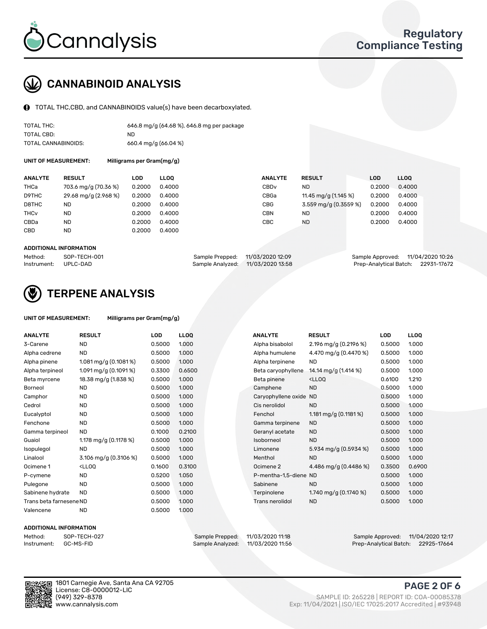

## CANNABINOID ANALYSIS

TOTAL THC,CBD, and CANNABINOIDS value(s) have been decarboxylated.

| TOTAL THC:          | 646.8 mg/g (64.68 %), 646.8 mg per package |
|---------------------|--------------------------------------------|
| TOTAL CBD:          | ND                                         |
| TOTAL CANNABINOIDS: | 660.4 mg/g $(66.04\%)$                     |

UNIT OF MEASUREMENT: Milligrams per Gram(mg/g)

| <b>ANALYTE</b>         | <b>RESULT</b>        | LOD    | <b>LLOO</b> | <b>ANALYTE</b> | <b>RESULT</b>         | <b>LOD</b> | <b>LLOO</b> |
|------------------------|----------------------|--------|-------------|----------------|-----------------------|------------|-------------|
| THCa                   | 703.6 mg/g (70.36 %) | 0.2000 | 0.4000      | CBDv           | ND                    | 0.2000     | 0.4000      |
| D9THC                  | 29.68 mg/g (2.968 %) | 0.2000 | 0.4000      | CBGa           | 11.45 mg/g (1.145 %)  | 0.2000     | 0.4000      |
| D8THC                  | ND                   | 0.2000 | 0.4000      | CBG            | 3.559 mg/g (0.3559 %) | 0.2000     | 0.4000      |
| <b>THC<sub>v</sub></b> | <b>ND</b>            | 0.2000 | 0.4000      | CBN            | ND                    | 0.2000     | 0.4000      |
| CBDa                   | <b>ND</b>            | 0.2000 | 0.4000      | CBC            | ND                    | 0.2000     | 0.4000      |
| CBD                    | <b>ND</b>            | 0.2000 | 0.4000      |                |                       |            |             |
|                        |                      |        |             |                |                       |            |             |

#### ADDITIONAL INFORMATION

| Method:              | SOP-TECH-001 | Sample Prepped: 11/03/2020 12:09  | Sample Approved: 11/04/2020 10:26  |  |
|----------------------|--------------|-----------------------------------|------------------------------------|--|
| Instrument: UPLC-DAD |              | Sample Analyzed: 11/03/2020 13:58 | Prep-Analytical Batch: 22931-17672 |  |



## TERPENE ANALYSIS

| UNIT OF MEASUREMENT: | Milligrams per Gram(mg/g) |
|----------------------|---------------------------|
|                      |                           |

| <b>ANALYTE</b>          | <b>RESULT</b>                                                                                                                              | LOD    | <b>LLOQ</b> |  | <b>ANALYTE</b>        | <b>RESULT</b>                                      | <b>LOD</b> | <b>LLOQ</b> |
|-------------------------|--------------------------------------------------------------------------------------------------------------------------------------------|--------|-------------|--|-----------------------|----------------------------------------------------|------------|-------------|
| 3-Carene                | <b>ND</b>                                                                                                                                  | 0.5000 | 1.000       |  | Alpha bisabolol       | 2.196 mg/g (0.2196 %)                              | 0.5000     | 1.000       |
| Alpha cedrene           | <b>ND</b>                                                                                                                                  | 0.5000 | 1.000       |  | Alpha humulene        | 4.470 mg/g (0.4470 %)                              | 0.5000     | 1.000       |
| Alpha pinene            | 1.081 mg/g $(0.1081\%)$                                                                                                                    | 0.5000 | 1.000       |  | Alpha terpinene       | ND                                                 | 0.5000     | 1.000       |
| Alpha terpineol         | 1.091 mg/g $(0.1091\%)$                                                                                                                    | 0.3300 | 0.6500      |  | Beta caryophyllene    | 14.14 mg/g (1.414 %)                               | 0.5000     | 1.000       |
| Beta myrcene            | 18.38 mg/g (1.838 %)                                                                                                                       | 0.5000 | 1.000       |  | Beta pinene           | <lloq< td=""><td>0.6100</td><td>1.210</td></lloq<> | 0.6100     | 1.210       |
| <b>Borneol</b>          | <b>ND</b>                                                                                                                                  | 0.5000 | 1.000       |  | Camphene              | <b>ND</b>                                          | 0.5000     | 1.000       |
| Camphor                 | <b>ND</b>                                                                                                                                  | 0.5000 | 1.000       |  | Caryophyllene oxide   | <b>ND</b>                                          | 0.5000     | 1.000       |
| Cedrol                  | <b>ND</b>                                                                                                                                  | 0.5000 | 1.000       |  | Cis nerolidol         | <b>ND</b>                                          | 0.5000     | 1.000       |
| Eucalyptol              | <b>ND</b>                                                                                                                                  | 0.5000 | 1.000       |  | Fenchol               | 1.181 mg/g $(0.1181%)$                             | 0.5000     | 1.000       |
| Fenchone                | <b>ND</b>                                                                                                                                  | 0.5000 | 1.000       |  | Gamma terpinene       | <b>ND</b>                                          | 0.5000     | 1.000       |
| Gamma terpineol         | <b>ND</b>                                                                                                                                  | 0.1000 | 0.2100      |  | Geranyl acetate       | <b>ND</b>                                          | 0.5000     | 1.000       |
| Guaiol                  | 1.178 mg/g $(0.1178%)$                                                                                                                     | 0.5000 | 1.000       |  | Isoborneol            | <b>ND</b>                                          | 0.5000     | 1.000       |
| Isopulegol              | <b>ND</b>                                                                                                                                  | 0.5000 | 1.000       |  | Limonene              | 5.934 mg/g $(0.5934\%)$                            | 0.5000     | 1.000       |
| Linalool                | 3.106 mg/g (0.3106 %)                                                                                                                      | 0.5000 | 1.000       |  | Menthol               | <b>ND</b>                                          | 0.5000     | 1.000       |
| Ocimene 1               | <ll0q< td=""><td>0.1600</td><td>0.3100</td><td></td><td>Ocimene 2</td><td>4.486 mg/g (0.4486 %)</td><td>0.3500</td><td>0.6900</td></ll0q<> | 0.1600 | 0.3100      |  | Ocimene 2             | 4.486 mg/g (0.4486 %)                              | 0.3500     | 0.6900      |
| P-cymene                | <b>ND</b>                                                                                                                                  | 0.5200 | 1.050       |  | P-mentha-1,5-diene ND |                                                    | 0.5000     | 1.000       |
| Pulegone                | <b>ND</b>                                                                                                                                  | 0.5000 | 1.000       |  | Sabinene              | <b>ND</b>                                          | 0.5000     | 1.000       |
| Sabinene hydrate        | <b>ND</b>                                                                                                                                  | 0.5000 | 1.000       |  | Terpinolene           | 1.740 mg/g $(0.1740\%)$                            | 0.5000     | 1.000       |
| Trans beta farnesene ND |                                                                                                                                            | 0.5000 | 1.000       |  | Trans nerolidol       | <b>ND</b>                                          | 0.5000     | 1.000       |
| Valencene               | <b>ND</b>                                                                                                                                  | 0.5000 | 1.000       |  |                       |                                                    |            |             |

#### ADDITIONAL INFORMATION



Method: SOP-TECH-027 Sample Prepped: 11/03/2020 11:18 Sample Approved: 11/04/2020 12:17 Prep-Analytical Batch: 22925-17664

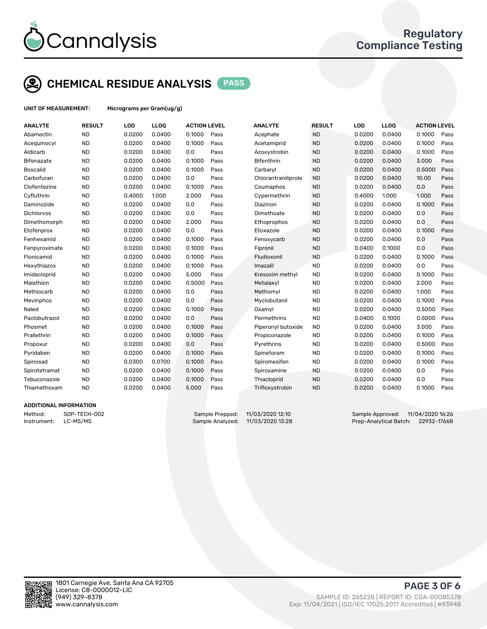

## CHEMICAL RESIDUE ANALYSIS PASS

UNIT OF MEASUREMENT: Micrograms per Gram(ug/g)

| <b>ANALYTE</b>    | <b>RESULT</b> | LOD    | LLOQ   | <b>ACTION LEVEL</b> |      | <b>ANALYTE</b>      | <b>RESULT</b> | LOD    | <b>LLOQ</b> | <b>ACTION LEVEL</b> |      |
|-------------------|---------------|--------|--------|---------------------|------|---------------------|---------------|--------|-------------|---------------------|------|
| Abamectin         | <b>ND</b>     | 0.0200 | 0.0400 | 0.1000              | Pass | Acephate            | <b>ND</b>     | 0.0200 | 0.0400      | 0.1000              | Pass |
| Acequinocyl       | <b>ND</b>     | 0.0200 | 0.0400 | 0.1000              | Pass | Acetamiprid         | <b>ND</b>     | 0.0200 | 0.0400      | 0.1000              | Pass |
| Aldicarb          | <b>ND</b>     | 0.0200 | 0.0400 | 0.0                 | Pass | Azoxystrobin        | <b>ND</b>     | 0.0200 | 0.0400      | 0.1000              | Pass |
| <b>Bifenazate</b> | <b>ND</b>     | 0.0200 | 0.0400 | 0.1000              | Pass | Bifenthrin          | <b>ND</b>     | 0.0200 | 0.0400      | 3.000               | Pass |
| <b>Boscalid</b>   | <b>ND</b>     | 0.0200 | 0.0400 | 0.1000              | Pass | Carbaryl            | <b>ND</b>     | 0.0200 | 0.0400      | 0.5000              | Pass |
| Carbofuran        | <b>ND</b>     | 0.0200 | 0.0400 | 0.0                 | Pass | Chlorantraniliprole | <b>ND</b>     | 0.0200 | 0.0400      | 10.00               | Pass |
| Clofentezine      | <b>ND</b>     | 0.0200 | 0.0400 | 0.1000              | Pass | Coumaphos           | <b>ND</b>     | 0.0200 | 0.0400      | 0.0                 | Pass |
| Cyfluthrin        | <b>ND</b>     | 0.4000 | 1.000  | 2.000               | Pass | Cypermethrin        | <b>ND</b>     | 0.4000 | 1.000       | 1.000               | Pass |
| Daminozide        | <b>ND</b>     | 0.0200 | 0.0400 | 0.0                 | Pass | Diazinon            | <b>ND</b>     | 0.0200 | 0.0400      | 0.1000              | Pass |
| <b>Dichlorvos</b> | <b>ND</b>     | 0.0200 | 0.0400 | 0.0                 | Pass | Dimethoate          | <b>ND</b>     | 0.0200 | 0.0400      | 0.0                 | Pass |
| Dimethomorph      | <b>ND</b>     | 0.0200 | 0.0400 | 2.000               | Pass | Ethoprophos         | <b>ND</b>     | 0.0200 | 0.0400      | 0.0                 | Pass |
| Etofenprox        | <b>ND</b>     | 0.0200 | 0.0400 | 0.0                 | Pass | Etoxazole           | <b>ND</b>     | 0.0200 | 0.0400      | 0.1000              | Pass |
| Fenhexamid        | <b>ND</b>     | 0.0200 | 0.0400 | 0.1000              | Pass | Fenoxycarb          | <b>ND</b>     | 0.0200 | 0.0400      | 0.0                 | Pass |
| Fenpyroximate     | <b>ND</b>     | 0.0200 | 0.0400 | 0.1000              | Pass | Fipronil            | <b>ND</b>     | 0.0400 | 0.1000      | 0.0                 | Pass |
| Flonicamid        | <b>ND</b>     | 0.0200 | 0.0400 | 0.1000              | Pass | Fludioxonil         | <b>ND</b>     | 0.0200 | 0.0400      | 0.1000              | Pass |
| Hexythiazox       | <b>ND</b>     | 0.0200 | 0.0400 | 0.1000              | Pass | Imazalil            | <b>ND</b>     | 0.0200 | 0.0400      | 0.0                 | Pass |
| Imidacloprid      | <b>ND</b>     | 0.0200 | 0.0400 | 5.000               | Pass | Kresoxim methyl     | <b>ND</b>     | 0.0200 | 0.0400      | 0.1000              | Pass |
| Malathion         | <b>ND</b>     | 0.0200 | 0.0400 | 0.5000              | Pass | Metalaxyl           | <b>ND</b>     | 0.0200 | 0.0400      | 2.000               | Pass |
| Methiocarb        | <b>ND</b>     | 0.0200 | 0.0400 | 0.0                 | Pass | Methomyl            | <b>ND</b>     | 0.0200 | 0.0400      | 1.000               | Pass |
| Mevinphos         | <b>ND</b>     | 0.0200 | 0.0400 | 0.0                 | Pass | Myclobutanil        | <b>ND</b>     | 0.0200 | 0.0400      | 0.1000              | Pass |
| Naled             | <b>ND</b>     | 0.0200 | 0.0400 | 0.1000              | Pass | Oxamyl              | <b>ND</b>     | 0.0200 | 0.0400      | 0.5000              | Pass |
| Paclobutrazol     | <b>ND</b>     | 0.0200 | 0.0400 | 0.0                 | Pass | Permethrins         | <b>ND</b>     | 0.0400 | 0.1000      | 0.5000              | Pass |
| Phosmet           | <b>ND</b>     | 0.0200 | 0.0400 | 0.1000              | Pass | Piperonyl butoxide  | <b>ND</b>     | 0.0200 | 0.0400      | 3.000               | Pass |
| Prallethrin       | <b>ND</b>     | 0.0200 | 0.0400 | 0.1000              | Pass | Propiconazole       | <b>ND</b>     | 0.0200 | 0.0400      | 0.1000              | Pass |
| Propoxur          | <b>ND</b>     | 0.0200 | 0.0400 | 0.0                 | Pass | Pyrethrins          | <b>ND</b>     | 0.0200 | 0.0400      | 0.5000              | Pass |
| Pyridaben         | <b>ND</b>     | 0.0200 | 0.0400 | 0.1000              | Pass | Spinetoram          | <b>ND</b>     | 0.0200 | 0.0400      | 0.1000              | Pass |
| Spinosad          | <b>ND</b>     | 0.0300 | 0.0700 | 0.1000              | Pass | Spiromesifen        | <b>ND</b>     | 0.0200 | 0.0400      | 0.1000              | Pass |
| Spirotetramat     | <b>ND</b>     | 0.0200 | 0.0400 | 0.1000              | Pass | Spiroxamine         | <b>ND</b>     | 0.0200 | 0.0400      | 0.0                 | Pass |
| Tebuconazole      | <b>ND</b>     | 0.0200 | 0.0400 | 0.1000              | Pass | Thiacloprid         | <b>ND</b>     | 0.0200 | 0.0400      | 0.0                 | Pass |
| Thiamethoxam      | <b>ND</b>     | 0.0200 | 0.0400 | 5.000               | Pass | Trifloxystrobin     | <b>ND</b>     | 0.0200 | 0.0400      | 0.1000              | Pass |
|                   |               |        |        |                     |      |                     |               |        |             |                     |      |

### ADDITIONAL INFORMATION

Method: SOP-TECH-002 Sample Prepped: 11/03/2020 12:10 Sample Approved: 11/04/2020 16:26 Instrument: LC-MS/MS Sample Analyzed: 11/03/2020 13:28 Prep-Analytical Batch: 22932-17668



PAGE 3 OF 6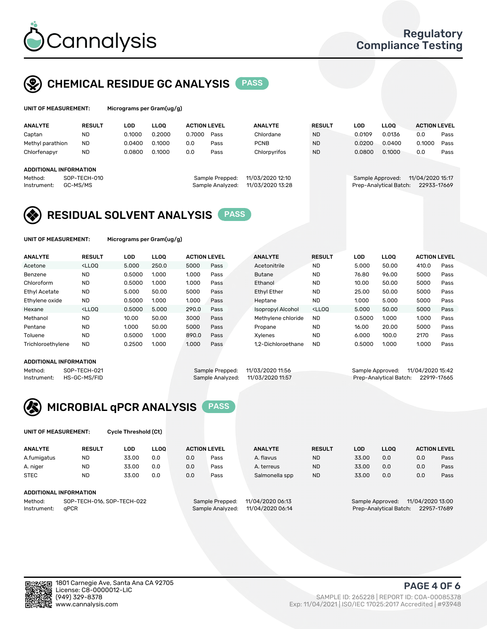

## CHEMICAL RESIDUE GC ANALYSIS PASS

| Micr |
|------|
|      |

ograms per Gram(ug/g<mark>)</mark>

| <b>ANALYTE</b>                                   | <b>RESULT</b>            | LOD    | <b>LLOO</b> | <b>ACTION LEVEL</b> |                                     | <b>ANALYTE</b>                       | <b>RESULT</b> | LOD    | <b>LLOO</b>                                |                  | <b>ACTION LEVEL</b> |
|--------------------------------------------------|--------------------------|--------|-------------|---------------------|-------------------------------------|--------------------------------------|---------------|--------|--------------------------------------------|------------------|---------------------|
| Captan                                           | <b>ND</b>                | 0.1000 | 0.2000      | 0.7000              | Pass                                | Chlordane                            | <b>ND</b>     | 0.0109 | 0.0136                                     | 0.0              | Pass                |
| Methyl parathion                                 | <b>ND</b>                | 0.0400 | 0.1000      | 0.0                 | Pass                                | <b>PCNB</b>                          | <b>ND</b>     | 0.0200 | 0.0400                                     | 0.1000           | Pass                |
| Chlorfenapyr                                     | <b>ND</b>                | 0.0800 | 0.1000      | 0.0                 | Pass                                | Chlorpyrifos                         | <b>ND</b>     | 0.0800 | 0.1000                                     | 0.0              | Pass                |
| ADDITIONAL INFORMATION<br>Method:<br>Instrument: | SOP-TECH-010<br>GC-MS/MS |        |             |                     | Sample Prepped:<br>Sample Analyzed: | 11/03/2020 12:10<br>11/03/2020 13:28 |               |        | Sample Approved:<br>Prep-Analytical Batch: | 11/04/2020 15:17 | 22933-17669         |

## RESIDUAL SOLVENT ANALYSIS PASS

UNIT OF MEASUREMENT: Micrograms per Gram(ug/g)

| <b>ANALYTE</b>       | <b>RESULT</b>                                                                                                                                                             | LOD    | <b>LLOO</b> | <b>ACTION LEVEL</b> |      | <b>ANALYTE</b>           | <b>RESULT</b>                                                               | LOD    | <b>LLOO</b> | <b>ACTION LEVEL</b> |      |
|----------------------|---------------------------------------------------------------------------------------------------------------------------------------------------------------------------|--------|-------------|---------------------|------|--------------------------|-----------------------------------------------------------------------------|--------|-------------|---------------------|------|
| Acetone              | <lloo< td=""><td>5.000</td><td>250.0</td><td>5000</td><td>Pass</td><td>Acetonitrile</td><td><b>ND</b></td><td>5.000</td><td>50.00</td><td>410.0</td><td>Pass</td></lloo<> | 5.000  | 250.0       | 5000                | Pass | Acetonitrile             | <b>ND</b>                                                                   | 5.000  | 50.00       | 410.0               | Pass |
| Benzene              | <b>ND</b>                                                                                                                                                                 | 0.5000 | 1.000       | 1.000               | Pass | <b>Butane</b>            | <b>ND</b>                                                                   | 76.80  | 96.00       | 5000                | Pass |
| Chloroform           | <b>ND</b>                                                                                                                                                                 | 0.5000 | 1.000       | 1.000               | Pass | Ethanol                  | <b>ND</b>                                                                   | 10.00  | 50.00       | 5000                | Pass |
| <b>Ethyl Acetate</b> | <b>ND</b>                                                                                                                                                                 | 5.000  | 50.00       | 5000                | Pass | <b>Ethyl Ether</b>       | <b>ND</b>                                                                   | 25.00  | 50.00       | 5000                | Pass |
| Ethylene oxide       | <b>ND</b>                                                                                                                                                                 | 0.5000 | 1.000       | 1.000               | Pass | Heptane                  | <b>ND</b>                                                                   | 1.000  | 5.000       | 5000                | Pass |
| Hexane               | $<$ LLOO                                                                                                                                                                  | 0.5000 | 5.000       | 290.0               | Pass | <b>Isopropyl Alcohol</b> | <lloo< td=""><td>5.000</td><td>50.00</td><td>5000</td><td>Pass</td></lloo<> | 5.000  | 50.00       | 5000                | Pass |
| Methanol             | <b>ND</b>                                                                                                                                                                 | 10.00  | 50.00       | 3000                | Pass | Methylene chloride       | <b>ND</b>                                                                   | 0.5000 | 1.000       | 1.000               | Pass |
| Pentane              | <b>ND</b>                                                                                                                                                                 | 1.000  | 50.00       | 5000                | Pass | Propane                  | <b>ND</b>                                                                   | 16.00  | 20.00       | 5000                | Pass |
| Toluene              | <b>ND</b>                                                                                                                                                                 | 0.5000 | 1.000       | 890.0               | Pass | Xvlenes                  | <b>ND</b>                                                                   | 6.000  | 100.0       | 2170                | Pass |
| Trichloroethylene    | <b>ND</b>                                                                                                                                                                 | 0.2500 | 1.000       | 1.000               | Pass | 1.2-Dichloroethane       | <b>ND</b>                                                                   | 0.5000 | 1.000       | 1.000               | Pass |

#### ADDITIONAL INFORMATION

| ADDITIONAL INFORMATION |              |                                   |                                    |
|------------------------|--------------|-----------------------------------|------------------------------------|
| Method:                | SOP-TECH-021 | Sample Prepped: 11/03/2020 11:56  | Sample Approved: 11/04/2020 15:42  |
| Instrument:            | HS-GC-MS/FID | Sample Analyzed: 11/03/2020 11:57 | Prep-Analytical Batch: 22919-17665 |



UNIT OF MEASUREMENT: Cycle Threshold (Ct)

| <b>ANALYTE</b> | <b>RESULT</b>              | LOD   | <b>LLOO</b> | <b>ACTION LEVEL</b> |                 | <b>ANALYTE</b>   | <b>RESULT</b> | LOD   | <b>LLOO</b>      |                  | <b>ACTION LEVEL</b> |
|----------------|----------------------------|-------|-------------|---------------------|-----------------|------------------|---------------|-------|------------------|------------------|---------------------|
| A.fumigatus    | <b>ND</b>                  | 33.00 | 0.0         | 0.0                 | Pass            | A. flavus        | <b>ND</b>     | 33.00 | 0.0              | 0.0              | Pass                |
| A. niger       | <b>ND</b>                  | 33.00 | 0.0         | 0.0                 | Pass            | A. terreus       | <b>ND</b>     | 33.00 | 0.0              | 0.0              | Pass                |
| <b>STEC</b>    | <b>ND</b>                  | 33.00 | 0.0         | 0.0                 | Pass            | Salmonella spp   | <b>ND</b>     | 33.00 | 0.0              | 0.0              | Pass                |
|                | ADDITIONAL INFORMATION     |       |             |                     |                 |                  |               |       |                  |                  |                     |
| Method:        | SOP-TECH-016, SOP-TECH-022 |       |             |                     | Sample Prepped: | 11/04/2020 06:13 |               |       | Sample Approved: | 11/04/2020 13:00 |                     |

Instrument: qPCR Sample Analyzed: 11/04/2020 06:14 Prep-Analytical Batch: 22957-17689

PAGE 4 OF 6

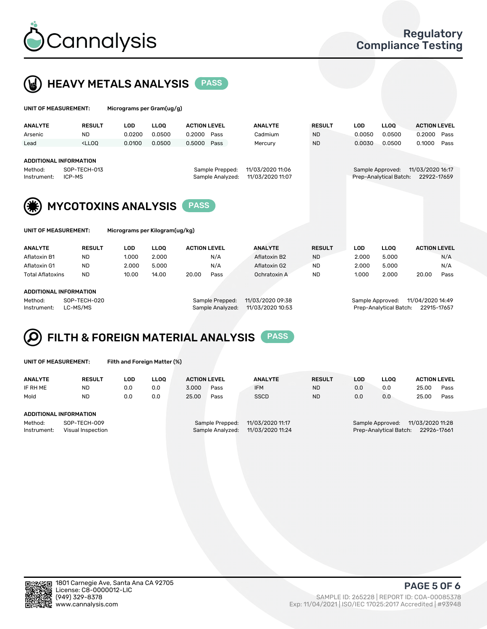



| UNIT OF MEASUREMENT:                                                                                                     |               | Micrograms per Gram(ug/g) |             |                     |      |                                      |               |            |                                            |                                 |      |
|--------------------------------------------------------------------------------------------------------------------------|---------------|---------------------------|-------------|---------------------|------|--------------------------------------|---------------|------------|--------------------------------------------|---------------------------------|------|
| <b>ANALYTE</b>                                                                                                           | <b>RESULT</b> | <b>LOD</b>                | <b>LLOO</b> | <b>ACTION LEVEL</b> |      | <b>ANALYTE</b>                       | <b>RESULT</b> | <b>LOD</b> | <b>LLOQ</b>                                | <b>ACTION LEVEL</b>             |      |
| Arsenic                                                                                                                  | <b>ND</b>     | 0.0200                    | 0.0500      | 0.2000              | Pass | Cadmium                              | <b>ND</b>     | 0.0050     | 0.0500                                     | 0.2000                          | Pass |
| Lead                                                                                                                     | $<$ LLOO      | 0.0100                    | 0.0500      | 0.5000              | Pass | Mercury                              | <b>ND</b>     | 0.0030     | 0.0500                                     | 0.1000                          | Pass |
| <b>ADDITIONAL INFORMATION</b><br>SOP-TECH-013<br>Method:<br>Sample Prepped:<br>ICP-MS<br>Sample Analyzed:<br>Instrument: |               |                           |             |                     |      | 11/03/2020 11:06<br>11/03/2020 11:07 |               |            | Sample Approved:<br>Prep-Analytical Batch: | 11/03/2020 16:17<br>22922-17659 |      |
| <b>MYCOTOXINS ANALYSIS</b><br><b>PASS</b><br><b>UNIT OF MEASUREMENT:</b><br>Micrograms per Kilogram(ug/kg)               |               |                           |             |                     |      |                                      |               |            |                                            |                                 |      |
|                                                                                                                          |               |                           |             |                     |      |                                      |               |            |                                            |                                 |      |
| <b>ANALYTE</b>                                                                                                           | <b>RESULT</b> | <b>LOD</b>                | <b>LLOO</b> | <b>ACTION LEVEL</b> |      | <b>ANALYTE</b>                       | <b>RESULT</b> | <b>LOD</b> | <b>LLOQ</b>                                | <b>ACTION LEVEL</b>             |      |
| Aflatoxin B1                                                                                                             | <b>ND</b>     | 1.000                     | 2.000       |                     | N/A  | Aflatoxin B2                         | <b>ND</b>     | 2.000      | 5.000                                      |                                 | N/A  |
| Aflatoxin G1                                                                                                             | <b>ND</b>     | 2.000                     | 5.000       |                     | N/A  | Aflatoxin G2                         | <b>ND</b>     | 2.000      | 5.000                                      |                                 | N/A  |
| <b>Total Aflatoxins</b>                                                                                                  | <b>ND</b>     | 10.00                     | 14.00       | 20.00               | Pass | Ochratoxin A                         | <b>ND</b>     | 1.000      | 2.000                                      | 20.00                           | Pass |

#### ADDITIONAL INFORMATION

Method: SOP-TECH-020 Sample Prepped: 11/03/2020 09:38 Sample Approved: 11/04/2020 14:49 Instrument: LC-MS/MS Sample Analyzed: 11/03/2020 10:53 Prep-Analytical Batch: 22915-17657

### FILTH & FOREIGN MATERIAL ANALYSIS PASS Q

UNIT OF MEASUREMENT: Filth and Foreign Matter (%)

| <b>ANALYTE</b>                | <b>RESULT</b>                     | LOD | <b>LLOO</b> | <b>ACTION LEVEL</b> |                                     | <b>ANALYTE</b>                       | <b>RESULT</b> | LOD | LLOO                                       | <b>ACTION LEVEL</b>             |      |
|-------------------------------|-----------------------------------|-----|-------------|---------------------|-------------------------------------|--------------------------------------|---------------|-----|--------------------------------------------|---------------------------------|------|
| IF RH ME                      | <b>ND</b>                         | 0.0 | 0.0         | 3.000               | Pass                                | <b>IFM</b>                           | <b>ND</b>     | 0.0 | 0.0                                        | 25.00                           | Pass |
| Mold                          | <b>ND</b>                         | 0.0 | 0.0         | 25.00               | Pass                                | <b>SSCD</b>                          | <b>ND</b>     | 0.0 | 0.0                                        | 25.00                           | Pass |
| <b>ADDITIONAL INFORMATION</b> |                                   |     |             |                     |                                     |                                      |               |     |                                            |                                 |      |
| Method:<br>Instrument:        | SOP-TECH-009<br>Visual Inspection |     |             |                     | Sample Prepped:<br>Sample Analyzed: | 11/03/2020 11:17<br>11/03/2020 11:24 |               |     | Sample Approved:<br>Prep-Analytical Batch: | 11/03/2020 11:28<br>22926-17661 |      |



PAGE 5 OF 6